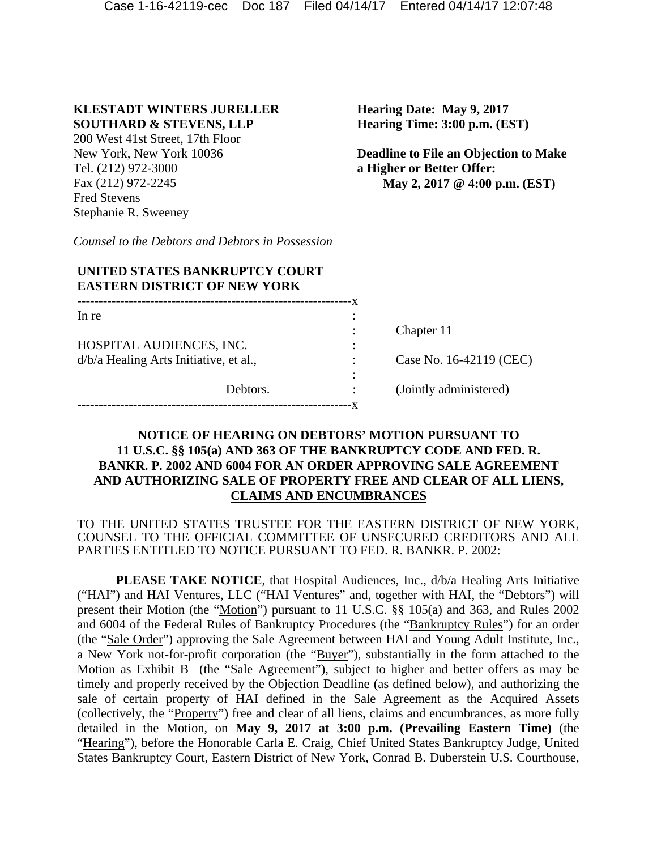# **KLESTADT WINTERS JURELLER SOUTHARD & STEVENS, LLP**

200 West 41st Street, 17th Floor New York, New York 10036 Tel. (212) 972-3000 Fax (212) 972-2245 Fred Stevens Stephanie R. Sweeney

**Hearing Date: May 9, 2017 Hearing Time: 3:00 p.m. (EST)** 

**Deadline to File an Objection to Make a Higher or Better Offer: May 2, 2017 @ 4:00 p.m. (EST)**

*Counsel to the Debtors and Debtors in Possession* 

# **UNITED STATES BANKRUPTCY COURT EASTERN DISTRICT OF NEW YORK**

| In re                                                                |          | ٠                             |                         |
|----------------------------------------------------------------------|----------|-------------------------------|-------------------------|
|                                                                      |          | $\ddot{\cdot}$                | Chapter 11              |
| HOSPITAL AUDIENCES, INC.<br>$d/b/a$ Healing Arts Initiative, et al., |          | ٠<br>$\overline{\phantom{a}}$ |                         |
|                                                                      |          |                               | Case No. 16-42119 (CEC) |
|                                                                      |          |                               |                         |
|                                                                      | Debtors. |                               | (Jointly administered)  |
|                                                                      |          |                               |                         |

# **NOTICE OF HEARING ON DEBTORS' MOTION PURSUANT TO 11 U.S.C. §§ 105(a) AND 363 OF THE BANKRUPTCY CODE AND FED. R. BANKR. P. 2002 AND 6004 FOR AN ORDER APPROVING SALE AGREEMENT AND AUTHORIZING SALE OF PROPERTY FREE AND CLEAR OF ALL LIENS, CLAIMS AND ENCUMBRANCES**

TO THE UNITED STATES TRUSTEE FOR THE EASTERN DISTRICT OF NEW YORK, COUNSEL TO THE OFFICIAL COMMITTEE OF UNSECURED CREDITORS AND ALL PARTIES ENTITLED TO NOTICE PURSUANT TO FED. R. BANKR. P. 2002:

**PLEASE TAKE NOTICE**, that Hospital Audiences, Inc.,  $d/b/a$  Healing Arts Initiative ("HAI") and HAI Ventures, LLC ("HAI Ventures" and, together with HAI, the "Debtors") will present their Motion (the "Motion") pursuant to 11 U.S.C. §§ 105(a) and 363, and Rules 2002 and 6004 of the Federal Rules of Bankruptcy Procedures (the "Bankruptcy Rules") for an order (the "Sale Order") approving the Sale Agreement between HAI and Young Adult Institute, Inc., a New York not-for-profit corporation (the "Buyer"), substantially in the form attached to the Motion as Exhibit B (the "Sale Agreement"), subject to higher and better offers as may be timely and properly received by the Objection Deadline (as defined below), and authorizing the sale of certain property of HAI defined in the Sale Agreement as the Acquired Assets (collectively, the "Property") free and clear of all liens, claims and encumbrances, as more fully detailed in the Motion, on **May 9, 2017 at 3:00 p.m. (Prevailing Eastern Time)** (the "Hearing"), before the Honorable Carla E. Craig, Chief United States Bankruptcy Judge, United States Bankruptcy Court, Eastern District of New York, Conrad B. Duberstein U.S. Courthouse,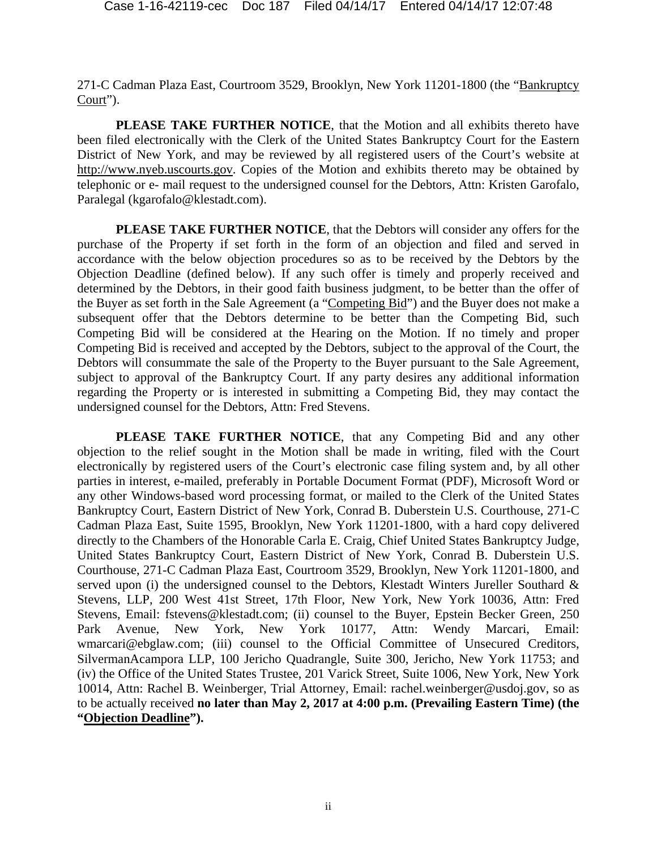271-C Cadman Plaza East, Courtroom 3529, Brooklyn, New York 11201-1800 (the "Bankruptcy Court").

PLEASE TAKE FURTHER NOTICE, that the Motion and all exhibits thereto have been filed electronically with the Clerk of the United States Bankruptcy Court for the Eastern District of New York, and may be reviewed by all registered users of the Court's website at http://www.nyeb.uscourts.gov. Copies of the Motion and exhibits thereto may be obtained by telephonic or e- mail request to the undersigned counsel for the Debtors, Attn: Kristen Garofalo, Paralegal (kgarofalo@klestadt.com).

**PLEASE TAKE FURTHER NOTICE**, that the Debtors will consider any offers for the purchase of the Property if set forth in the form of an objection and filed and served in accordance with the below objection procedures so as to be received by the Debtors by the Objection Deadline (defined below). If any such offer is timely and properly received and determined by the Debtors, in their good faith business judgment, to be better than the offer of the Buyer as set forth in the Sale Agreement (a "Competing Bid") and the Buyer does not make a subsequent offer that the Debtors determine to be better than the Competing Bid, such Competing Bid will be considered at the Hearing on the Motion. If no timely and proper Competing Bid is received and accepted by the Debtors, subject to the approval of the Court, the Debtors will consummate the sale of the Property to the Buyer pursuant to the Sale Agreement, subject to approval of the Bankruptcy Court. If any party desires any additional information regarding the Property or is interested in submitting a Competing Bid, they may contact the undersigned counsel for the Debtors, Attn: Fred Stevens.

**PLEASE TAKE FURTHER NOTICE**, that any Competing Bid and any other objection to the relief sought in the Motion shall be made in writing, filed with the Court electronically by registered users of the Court's electronic case filing system and, by all other parties in interest, e-mailed, preferably in Portable Document Format (PDF), Microsoft Word or any other Windows-based word processing format, or mailed to the Clerk of the United States Bankruptcy Court, Eastern District of New York, Conrad B. Duberstein U.S. Courthouse, 271-C Cadman Plaza East, Suite 1595, Brooklyn, New York 11201-1800, with a hard copy delivered directly to the Chambers of the Honorable Carla E. Craig, Chief United States Bankruptcy Judge, United States Bankruptcy Court, Eastern District of New York, Conrad B. Duberstein U.S. Courthouse, 271-C Cadman Plaza East, Courtroom 3529, Brooklyn, New York 11201-1800, and served upon (i) the undersigned counsel to the Debtors, Klestadt Winters Jureller Southard & Stevens, LLP, 200 West 41st Street, 17th Floor, New York, New York 10036, Attn: Fred Stevens, Email: fstevens@klestadt.com; (ii) counsel to the Buyer, Epstein Becker Green, 250 Park Avenue, New York, New York 10177, Attn: Wendy Marcari, Email: wmarcari@ebglaw.com; (iii) counsel to the Official Committee of Unsecured Creditors, SilvermanAcampora LLP, 100 Jericho Quadrangle, Suite 300, Jericho, New York 11753; and (iv) the Office of the United States Trustee, 201 Varick Street, Suite 1006, New York, New York 10014, Attn: Rachel B. Weinberger, Trial Attorney, Email: rachel.weinberger@usdoj.gov, so as to be actually received **no later than May 2, 2017 at 4:00 p.m. (Prevailing Eastern Time) (the "Objection Deadline").**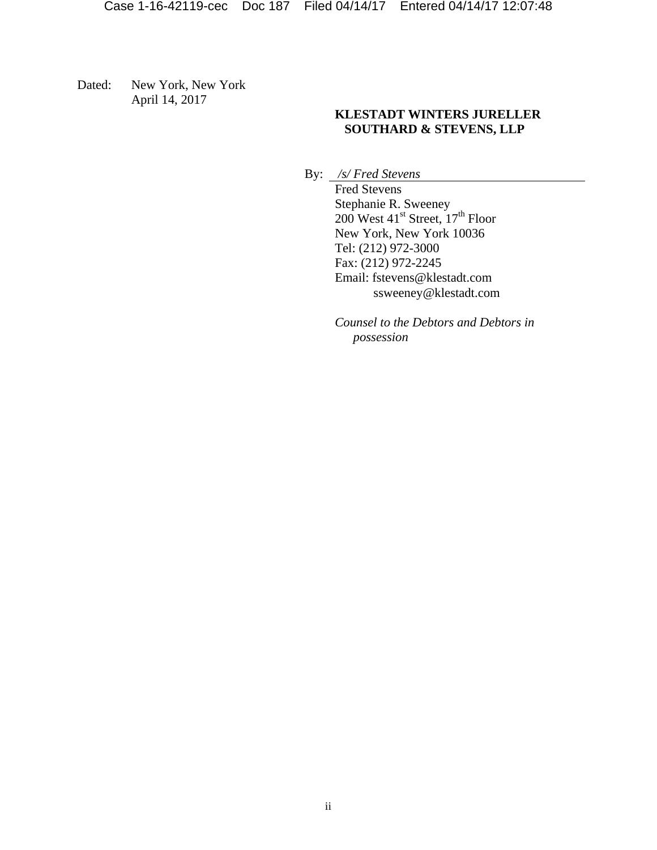Dated: New York, New York April 14, 2017

# **KLESTADT WINTERS JURELLER SOUTHARD & STEVENS, LLP**

By: */s/ Fred Stevens* 

 Fred Stevens Stephanie R. Sweeney  $200$  West  $41^{\text{st}}$  Street,  $17^{\text{th}}$  Floor New York, New York 10036 Tel: (212) 972-3000 Fax: (212) 972-2245 Email: fstevens@klestadt.com ssweeney@klestadt.com

*Counsel to the Debtors and Debtors in possession*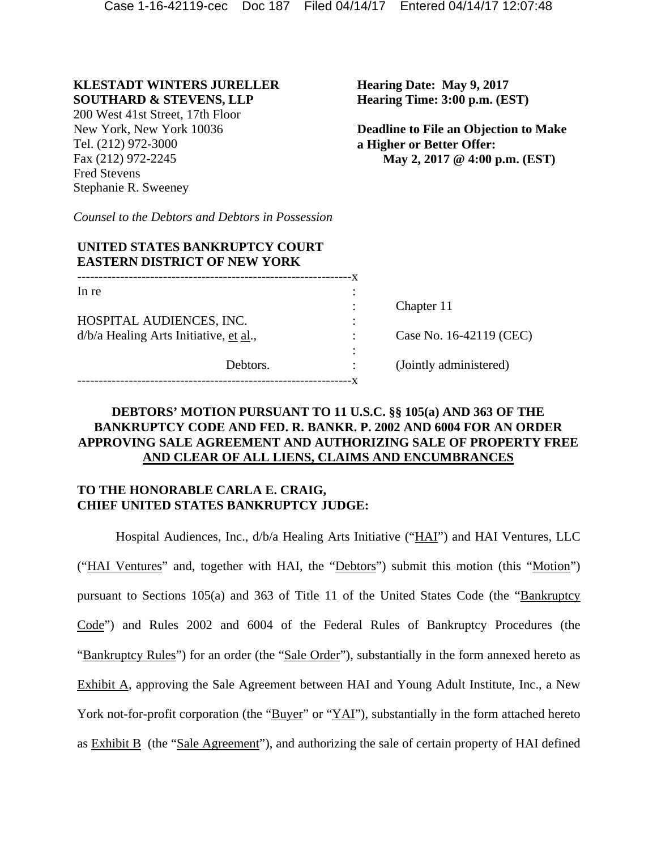### **KLESTADT WINTERS JURELLER SOUTHARD & STEVENS, LLP**

200 West 41st Street, 17th Floor New York, New York 10036 Tel. (212) 972-3000 Fax (212) 972-2245 Fred Stevens Stephanie R. Sweeney

**Hearing Date: May 9, 2017 Hearing Time: 3:00 p.m. (EST)** 

**Deadline to File an Objection to Make a Higher or Better Offer: May 2, 2017 @ 4:00 p.m. (EST)**

*Counsel to the Debtors and Debtors in Possession* 

| UNITED STATES BANKRUPTCY COURT<br><b>EASTERN DISTRICT OF NEW YORK</b> |          |           |                         |  |  |  |
|-----------------------------------------------------------------------|----------|-----------|-------------------------|--|--|--|
| In re                                                                 |          | -x<br>٠   |                         |  |  |  |
|                                                                       |          | $\bullet$ | Chapter 11              |  |  |  |
| HOSPITAL AUDIENCES, INC.                                              |          | ٠         |                         |  |  |  |
| d/b/a Healing Arts Initiative, et al.,                                |          | ٠         | Case No. 16-42119 (CEC) |  |  |  |
|                                                                       | Debtors. |           | (Jointly administered)  |  |  |  |
|                                                                       |          |           |                         |  |  |  |

## **DEBTORS' MOTION PURSUANT TO 11 U.S.C. §§ 105(a) AND 363 OF THE BANKRUPTCY CODE AND FED. R. BANKR. P. 2002 AND 6004 FOR AN ORDER APPROVING SALE AGREEMENT AND AUTHORIZING SALE OF PROPERTY FREE AND CLEAR OF ALL LIENS, CLAIMS AND ENCUMBRANCES**

# **TO THE HONORABLE CARLA E. CRAIG, CHIEF UNITED STATES BANKRUPTCY JUDGE:**

Hospital Audiences, Inc., d/b/a Healing Arts Initiative ("HAI") and HAI Ventures, LLC ("HAI Ventures" and, together with HAI, the "Debtors") submit this motion (this "Motion") pursuant to Sections 105(a) and 363 of Title 11 of the United States Code (the "Bankruptcy Code") and Rules 2002 and 6004 of the Federal Rules of Bankruptcy Procedures (the "Bankruptcy Rules") for an order (the "Sale Order"), substantially in the form annexed hereto as Exhibit A, approving the Sale Agreement between HAI and Young Adult Institute, Inc., a New York not-for-profit corporation (the "Buyer" or "YAI"), substantially in the form attached hereto as Exhibit B (the "Sale Agreement"), and authorizing the sale of certain property of HAI defined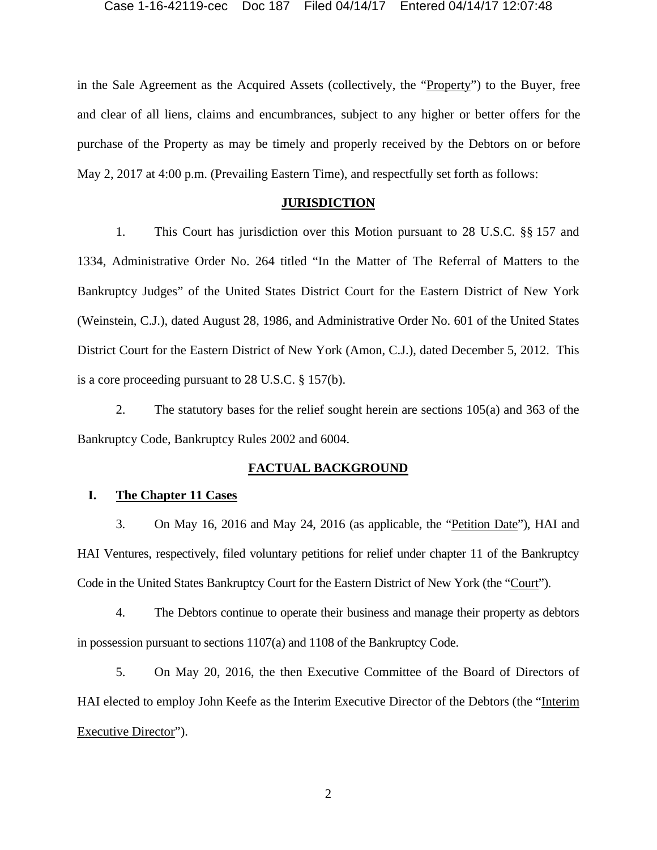in the Sale Agreement as the Acquired Assets (collectively, the "Property") to the Buyer, free and clear of all liens, claims and encumbrances, subject to any higher or better offers for the purchase of the Property as may be timely and properly received by the Debtors on or before May 2, 2017 at 4:00 p.m. (Prevailing Eastern Time), and respectfully set forth as follows:

## **JURISDICTION**

1. This Court has jurisdiction over this Motion pursuant to 28 U.S.C. §§ 157 and 1334, Administrative Order No. 264 titled "In the Matter of The Referral of Matters to the Bankruptcy Judges" of the United States District Court for the Eastern District of New York (Weinstein, C.J.), dated August 28, 1986, and Administrative Order No. 601 of the United States District Court for the Eastern District of New York (Amon, C.J.), dated December 5, 2012. This is a core proceeding pursuant to 28 U.S.C. § 157(b).

2. The statutory bases for the relief sought herein are sections 105(a) and 363 of the Bankruptcy Code, Bankruptcy Rules 2002 and 6004.

### **FACTUAL BACKGROUND**

## **I. The Chapter 11 Cases**

3. On May 16, 2016 and May 24, 2016 (as applicable, the "Petition Date"), HAI and HAI Ventures, respectively, filed voluntary petitions for relief under chapter 11 of the Bankruptcy Code in the United States Bankruptcy Court for the Eastern District of New York (the "Court").

4. The Debtors continue to operate their business and manage their property as debtors in possession pursuant to sections 1107(a) and 1108 of the Bankruptcy Code.

5. On May 20, 2016, the then Executive Committee of the Board of Directors of HAI elected to employ John Keefe as the Interim Executive Director of the Debtors (the "Interim Executive Director").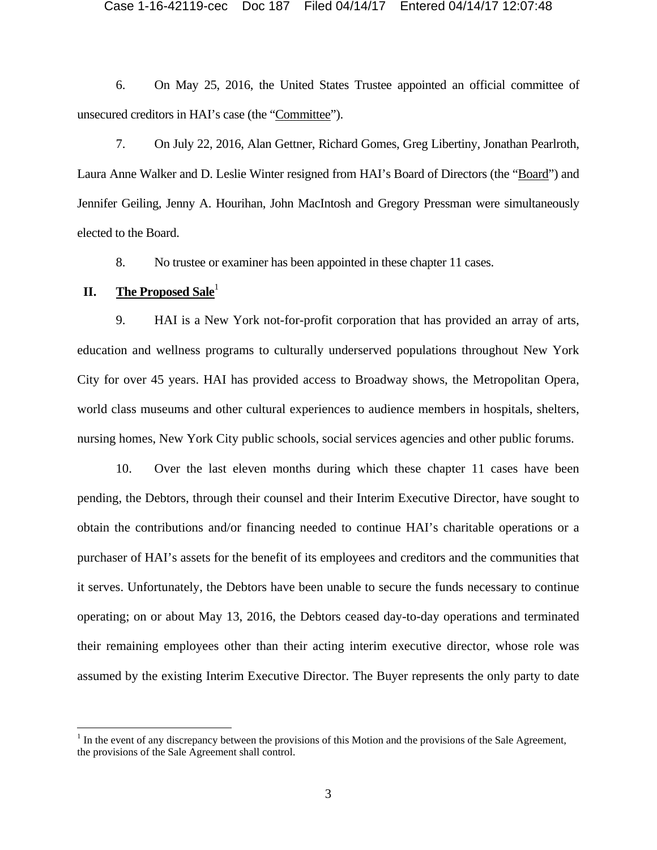6. On May 25, 2016, the United States Trustee appointed an official committee of unsecured creditors in HAI's case (the "Committee").

7. On July 22, 2016, Alan Gettner, Richard Gomes, Greg Libertiny, Jonathan Pearlroth, Laura Anne Walker and D. Leslie Winter resigned from HAI's Board of Directors (the "Board") and Jennifer Geiling, Jenny A. Hourihan, John MacIntosh and Gregory Pressman were simultaneously elected to the Board.

8. No trustee or examiner has been appointed in these chapter 11 cases.

## **II.** The Proposed Sale<sup>1</sup>

9. HAI is a New York not-for-profit corporation that has provided an array of arts, education and wellness programs to culturally underserved populations throughout New York City for over 45 years. HAI has provided access to Broadway shows, the Metropolitan Opera, world class museums and other cultural experiences to audience members in hospitals, shelters, nursing homes, New York City public schools, social services agencies and other public forums.

10. Over the last eleven months during which these chapter 11 cases have been pending, the Debtors, through their counsel and their Interim Executive Director, have sought to obtain the contributions and/or financing needed to continue HAI's charitable operations or a purchaser of HAI's assets for the benefit of its employees and creditors and the communities that it serves. Unfortunately, the Debtors have been unable to secure the funds necessary to continue operating; on or about May 13, 2016, the Debtors ceased day-to-day operations and terminated their remaining employees other than their acting interim executive director, whose role was assumed by the existing Interim Executive Director. The Buyer represents the only party to date

 $<sup>1</sup>$  In the event of any discrepancy between the provisions of this Motion and the provisions of the Sale Agreement,</sup> the provisions of the Sale Agreement shall control.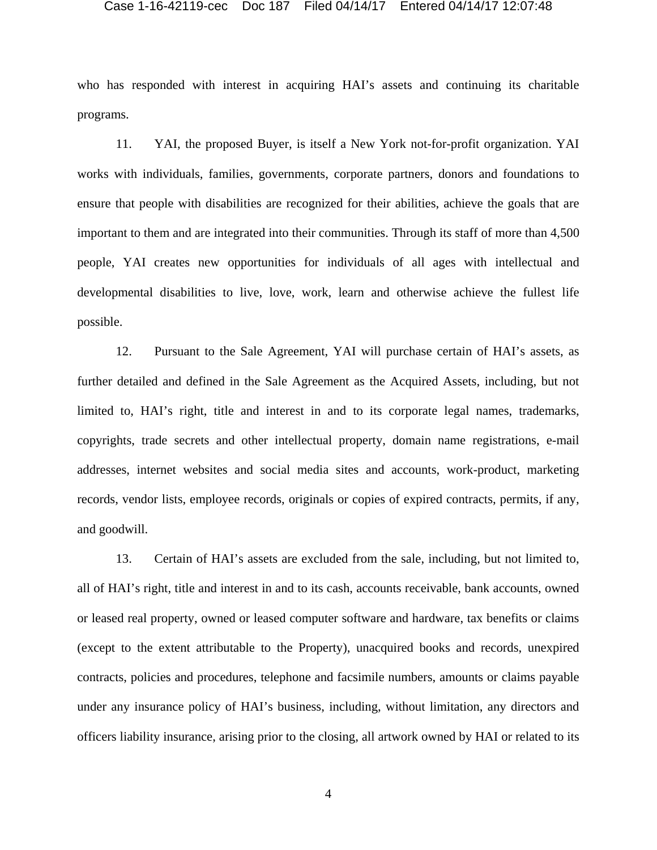who has responded with interest in acquiring HAI's assets and continuing its charitable programs.

11. YAI, the proposed Buyer, is itself a New York not-for-profit organization. YAI works with individuals, families, governments, corporate partners, donors and foundations to ensure that people with disabilities are recognized for their abilities, achieve the goals that are important to them and are integrated into their communities. Through its staff of more than 4,500 people, YAI creates new opportunities for individuals of all ages with intellectual and developmental disabilities to live, love, work, learn and otherwise achieve the fullest life possible.

12. Pursuant to the Sale Agreement, YAI will purchase certain of HAI's assets, as further detailed and defined in the Sale Agreement as the Acquired Assets, including, but not limited to, HAI's right, title and interest in and to its corporate legal names, trademarks, copyrights, trade secrets and other intellectual property, domain name registrations, e-mail addresses, internet websites and social media sites and accounts, work-product, marketing records, vendor lists, employee records, originals or copies of expired contracts, permits, if any, and goodwill.

13. Certain of HAI's assets are excluded from the sale, including, but not limited to, all of HAI's right, title and interest in and to its cash, accounts receivable, bank accounts, owned or leased real property, owned or leased computer software and hardware, tax benefits or claims (except to the extent attributable to the Property), unacquired books and records, unexpired contracts, policies and procedures, telephone and facsimile numbers, amounts or claims payable under any insurance policy of HAI's business, including, without limitation, any directors and officers liability insurance, arising prior to the closing, all artwork owned by HAI or related to its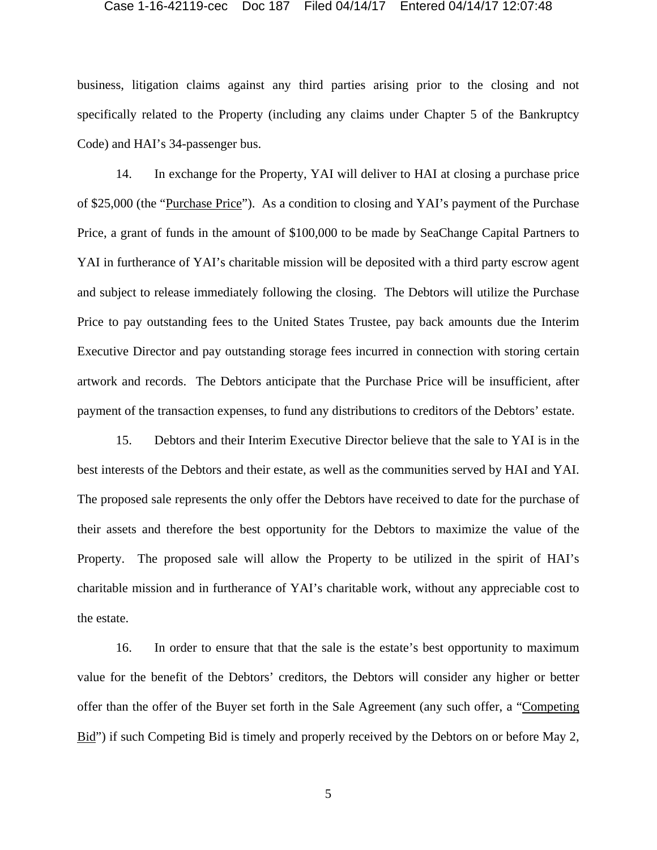business, litigation claims against any third parties arising prior to the closing and not specifically related to the Property (including any claims under Chapter 5 of the Bankruptcy Code) and HAI's 34-passenger bus.

14. In exchange for the Property, YAI will deliver to HAI at closing a purchase price of \$25,000 (the "Purchase Price"). As a condition to closing and YAI's payment of the Purchase Price, a grant of funds in the amount of \$100,000 to be made by SeaChange Capital Partners to YAI in furtherance of YAI's charitable mission will be deposited with a third party escrow agent and subject to release immediately following the closing. The Debtors will utilize the Purchase Price to pay outstanding fees to the United States Trustee, pay back amounts due the Interim Executive Director and pay outstanding storage fees incurred in connection with storing certain artwork and records. The Debtors anticipate that the Purchase Price will be insufficient, after payment of the transaction expenses, to fund any distributions to creditors of the Debtors' estate.

15. Debtors and their Interim Executive Director believe that the sale to YAI is in the best interests of the Debtors and their estate, as well as the communities served by HAI and YAI. The proposed sale represents the only offer the Debtors have received to date for the purchase of their assets and therefore the best opportunity for the Debtors to maximize the value of the Property. The proposed sale will allow the Property to be utilized in the spirit of HAI's charitable mission and in furtherance of YAI's charitable work, without any appreciable cost to the estate.

16. In order to ensure that that the sale is the estate's best opportunity to maximum value for the benefit of the Debtors' creditors, the Debtors will consider any higher or better offer than the offer of the Buyer set forth in the Sale Agreement (any such offer, a "Competing Bid") if such Competing Bid is timely and properly received by the Debtors on or before May 2,

5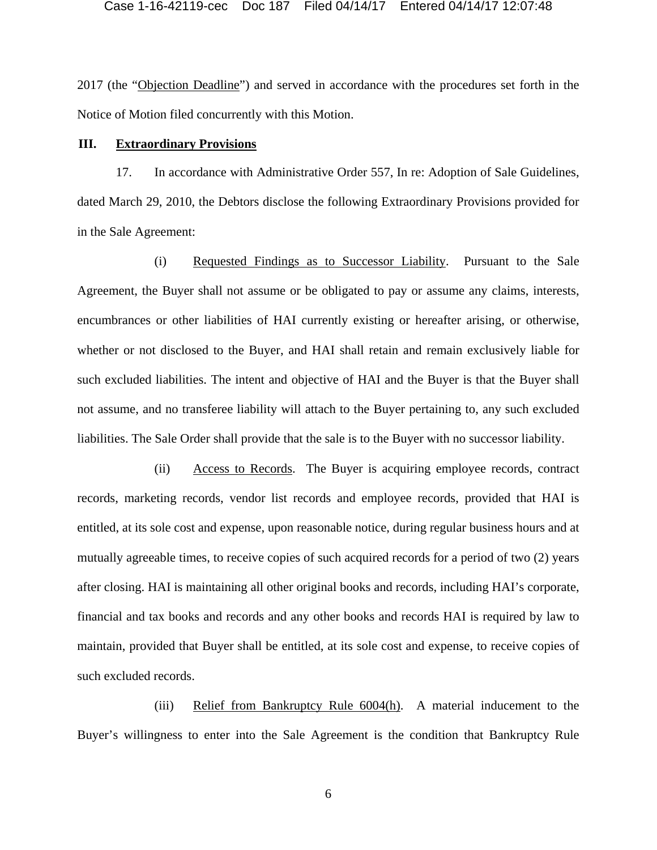2017 (the "Objection Deadline") and served in accordance with the procedures set forth in the Notice of Motion filed concurrently with this Motion.

### **III. Extraordinary Provisions**

17. In accordance with Administrative Order 557, In re: Adoption of Sale Guidelines, dated March 29, 2010, the Debtors disclose the following Extraordinary Provisions provided for in the Sale Agreement:

(i) Requested Findings as to Successor Liability. Pursuant to the Sale Agreement, the Buyer shall not assume or be obligated to pay or assume any claims, interests, encumbrances or other liabilities of HAI currently existing or hereafter arising, or otherwise, whether or not disclosed to the Buyer, and HAI shall retain and remain exclusively liable for such excluded liabilities. The intent and objective of HAI and the Buyer is that the Buyer shall not assume, and no transferee liability will attach to the Buyer pertaining to, any such excluded liabilities. The Sale Order shall provide that the sale is to the Buyer with no successor liability.

(ii) Access to Records. The Buyer is acquiring employee records, contract records, marketing records, vendor list records and employee records, provided that HAI is entitled, at its sole cost and expense, upon reasonable notice, during regular business hours and at mutually agreeable times, to receive copies of such acquired records for a period of two (2) years after closing. HAI is maintaining all other original books and records, including HAI's corporate, financial and tax books and records and any other books and records HAI is required by law to maintain, provided that Buyer shall be entitled, at its sole cost and expense, to receive copies of such excluded records.

(iii) Relief from Bankruptcy Rule 6004(h). A material inducement to the Buyer's willingness to enter into the Sale Agreement is the condition that Bankruptcy Rule

6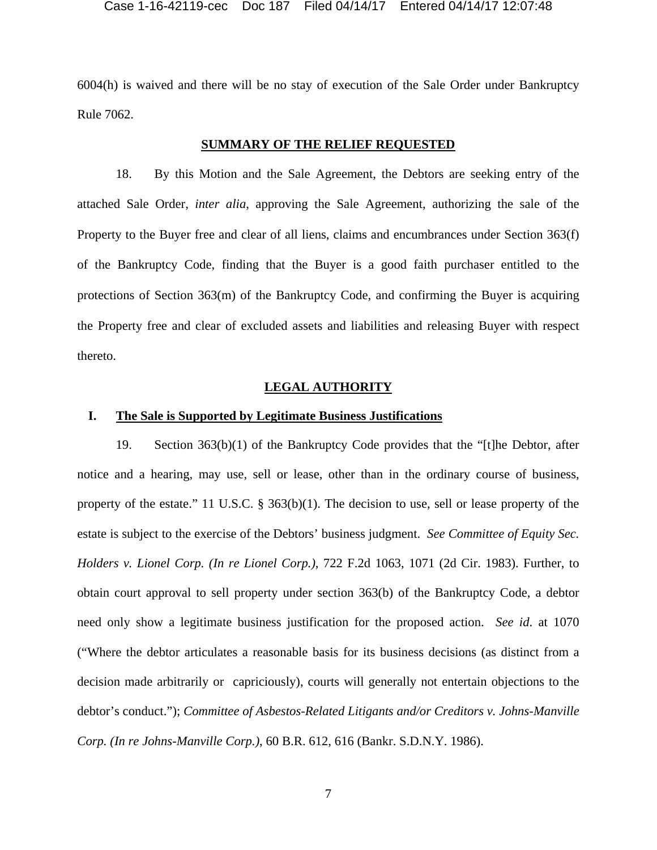6004(h) is waived and there will be no stay of execution of the Sale Order under Bankruptcy Rule 7062.

### **SUMMARY OF THE RELIEF REQUESTED**

18. By this Motion and the Sale Agreement, the Debtors are seeking entry of the attached Sale Order, *inter alia*, approving the Sale Agreement, authorizing the sale of the Property to the Buyer free and clear of all liens, claims and encumbrances under Section 363(f) of the Bankruptcy Code, finding that the Buyer is a good faith purchaser entitled to the protections of Section 363(m) of the Bankruptcy Code, and confirming the Buyer is acquiring the Property free and clear of excluded assets and liabilities and releasing Buyer with respect thereto.

### **LEGAL AUTHORITY**

## **I. The Sale is Supported by Legitimate Business Justifications**

19. Section 363(b)(1) of the Bankruptcy Code provides that the "[t]he Debtor, after notice and a hearing, may use, sell or lease, other than in the ordinary course of business, property of the estate." 11 U.S.C. § 363(b)(1). The decision to use, sell or lease property of the estate is subject to the exercise of the Debtors' business judgment. *See Committee of Equity Sec. Holders v. Lionel Corp. (In re Lionel Corp.)*, 722 F.2d 1063, 1071 (2d Cir. 1983). Further, to obtain court approval to sell property under section 363(b) of the Bankruptcy Code, a debtor need only show a legitimate business justification for the proposed action. *See id*. at 1070 ("Where the debtor articulates a reasonable basis for its business decisions (as distinct from a decision made arbitrarily or capriciously), courts will generally not entertain objections to the debtor's conduct."); *Committee of Asbestos-Related Litigants and/or Creditors v. Johns-Manville Corp. (In re Johns-Manville Corp.)*, 60 B.R. 612, 616 (Bankr. S.D.N.Y. 1986).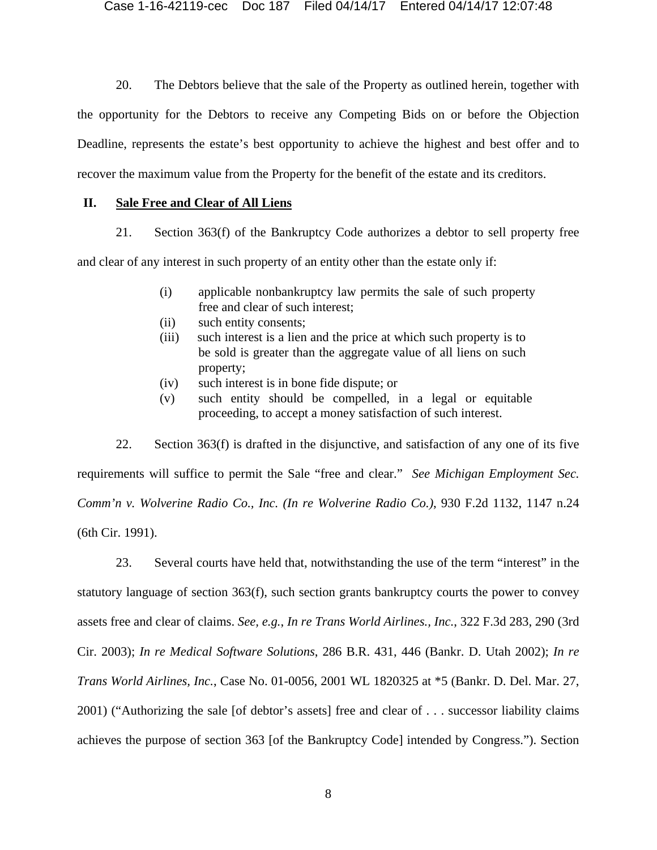20. The Debtors believe that the sale of the Property as outlined herein, together with the opportunity for the Debtors to receive any Competing Bids on or before the Objection Deadline, represents the estate's best opportunity to achieve the highest and best offer and to recover the maximum value from the Property for the benefit of the estate and its creditors.

## **II. Sale Free and Clear of All Liens**

21. Section 363(f) of the Bankruptcy Code authorizes a debtor to sell property free

and clear of any interest in such property of an entity other than the estate only if:

- (i) applicable nonbankruptcy law permits the sale of such property free and clear of such interest;
- (ii) such entity consents;
- (iii) such interest is a lien and the price at which such property is to be sold is greater than the aggregate value of all liens on such property;
- (iv) such interest is in bone fide dispute; or
- (v) such entity should be compelled, in a legal or equitable proceeding, to accept a money satisfaction of such interest.

22. Section 363(f) is drafted in the disjunctive, and satisfaction of any one of its five requirements will suffice to permit the Sale "free and clear." *See Michigan Employment Sec. Comm'n v. Wolverine Radio Co., Inc. (In re Wolverine Radio Co.)*, 930 F.2d 1132, 1147 n.24 (6th Cir. 1991).

23. Several courts have held that, notwithstanding the use of the term "interest" in the statutory language of section 363(f), such section grants bankruptcy courts the power to convey assets free and clear of claims. *See, e.g.*, *In re Trans World Airlines., Inc.*, 322 F.3d 283, 290 (3rd Cir. 2003); *In re Medical Software Solutions*, 286 B.R. 431, 446 (Bankr. D. Utah 2002); *In re Trans World Airlines, Inc.*, Case No. 01-0056, 2001 WL 1820325 at \*5 (Bankr. D. Del. Mar. 27, 2001) ("Authorizing the sale [of debtor's assets] free and clear of . . . successor liability claims achieves the purpose of section 363 [of the Bankruptcy Code] intended by Congress."). Section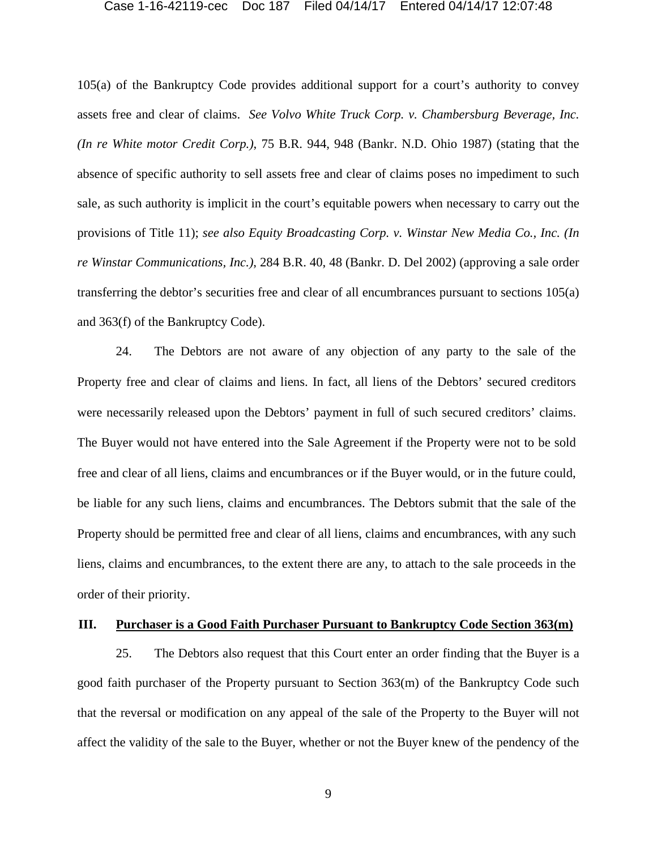105(a) of the Bankruptcy Code provides additional support for a court's authority to convey assets free and clear of claims. *See Volvo White Truck Corp. v. Chambersburg Beverage, Inc. (In re White motor Credit Corp.)*, 75 B.R. 944, 948 (Bankr. N.D. Ohio 1987) (stating that the absence of specific authority to sell assets free and clear of claims poses no impediment to such sale, as such authority is implicit in the court's equitable powers when necessary to carry out the provisions of Title 11); *see also Equity Broadcasting Corp. v. Winstar New Media Co., Inc. (In re Winstar Communications, Inc.)*, 284 B.R. 40, 48 (Bankr. D. Del 2002) (approving a sale order transferring the debtor's securities free and clear of all encumbrances pursuant to sections 105(a) and 363(f) of the Bankruptcy Code).

24. The Debtors are not aware of any objection of any party to the sale of the Property free and clear of claims and liens. In fact, all liens of the Debtors' secured creditors were necessarily released upon the Debtors' payment in full of such secured creditors' claims. The Buyer would not have entered into the Sale Agreement if the Property were not to be sold free and clear of all liens, claims and encumbrances or if the Buyer would, or in the future could, be liable for any such liens, claims and encumbrances. The Debtors submit that the sale of the Property should be permitted free and clear of all liens, claims and encumbrances, with any such liens, claims and encumbrances, to the extent there are any, to attach to the sale proceeds in the order of their priority.

### **III. Purchaser is a Good Faith Purchaser Pursuant to Bankruptcy Code Section 363(m)**

25. The Debtors also request that this Court enter an order finding that the Buyer is a good faith purchaser of the Property pursuant to Section 363(m) of the Bankruptcy Code such that the reversal or modification on any appeal of the sale of the Property to the Buyer will not affect the validity of the sale to the Buyer, whether or not the Buyer knew of the pendency of the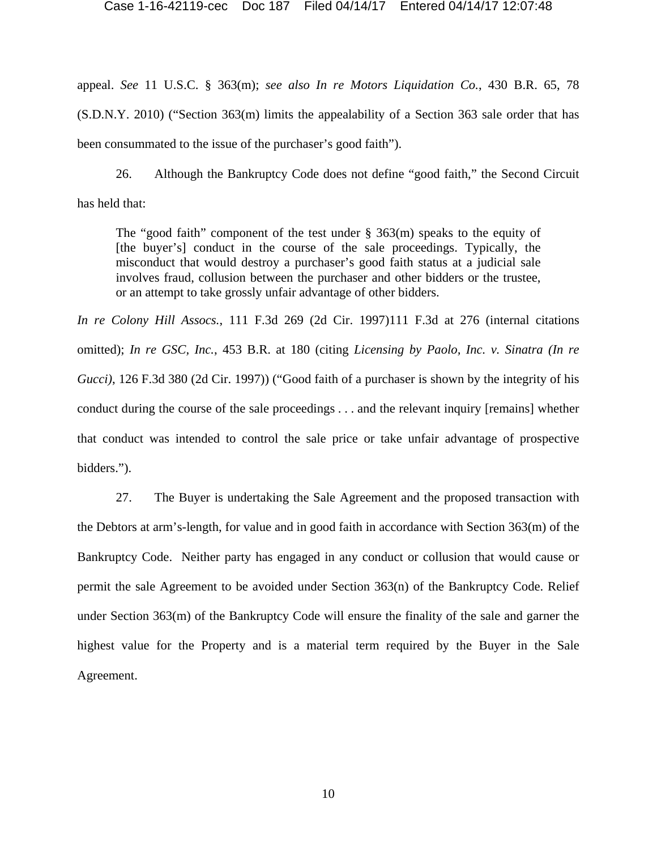appeal. *See* 11 U.S.C. § 363(m); *see also In re Motors Liquidation Co.*, 430 B.R. 65, 78 (S.D.N.Y. 2010) ("Section 363(m) limits the appealability of a Section 363 sale order that has been consummated to the issue of the purchaser's good faith").

26. Although the Bankruptcy Code does not define "good faith," the Second Circuit has held that:

The "good faith" component of the test under  $\S$  363(m) speaks to the equity of [the buyer's] conduct in the course of the sale proceedings. Typically, the misconduct that would destroy a purchaser's good faith status at a judicial sale involves fraud, collusion between the purchaser and other bidders or the trustee, or an attempt to take grossly unfair advantage of other bidders.

*In re Colony Hill Assocs.*, 111 F.3d 269 (2d Cir. 1997)111 F.3d at 276 (internal citations omitted); *In re GSC, Inc.*, 453 B.R. at 180 (citing *Licensing by Paolo, Inc. v. Sinatra (In re Gucci*), 126 F.3d 380 (2d Cir. 1997)) ("Good faith of a purchaser is shown by the integrity of his conduct during the course of the sale proceedings . . . and the relevant inquiry [remains] whether that conduct was intended to control the sale price or take unfair advantage of prospective bidders.").

27. The Buyer is undertaking the Sale Agreement and the proposed transaction with the Debtors at arm's-length, for value and in good faith in accordance with Section 363(m) of the Bankruptcy Code. Neither party has engaged in any conduct or collusion that would cause or permit the sale Agreement to be avoided under Section 363(n) of the Bankruptcy Code. Relief under Section 363(m) of the Bankruptcy Code will ensure the finality of the sale and garner the highest value for the Property and is a material term required by the Buyer in the Sale Agreement.

10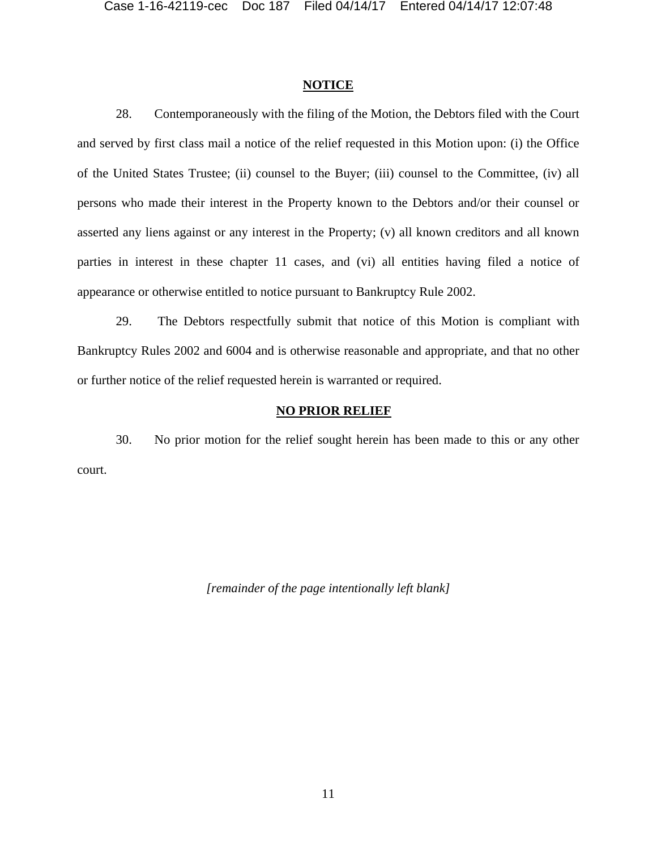## **NOTICE**

28. Contemporaneously with the filing of the Motion, the Debtors filed with the Court and served by first class mail a notice of the relief requested in this Motion upon: (i) the Office of the United States Trustee; (ii) counsel to the Buyer; (iii) counsel to the Committee, (iv) all persons who made their interest in the Property known to the Debtors and/or their counsel or asserted any liens against or any interest in the Property; (v) all known creditors and all known parties in interest in these chapter 11 cases, and (vi) all entities having filed a notice of appearance or otherwise entitled to notice pursuant to Bankruptcy Rule 2002.

29. The Debtors respectfully submit that notice of this Motion is compliant with Bankruptcy Rules 2002 and 6004 and is otherwise reasonable and appropriate, and that no other or further notice of the relief requested herein is warranted or required.

## **NO PRIOR RELIEF**

30. No prior motion for the relief sought herein has been made to this or any other court.

*[remainder of the page intentionally left blank]*